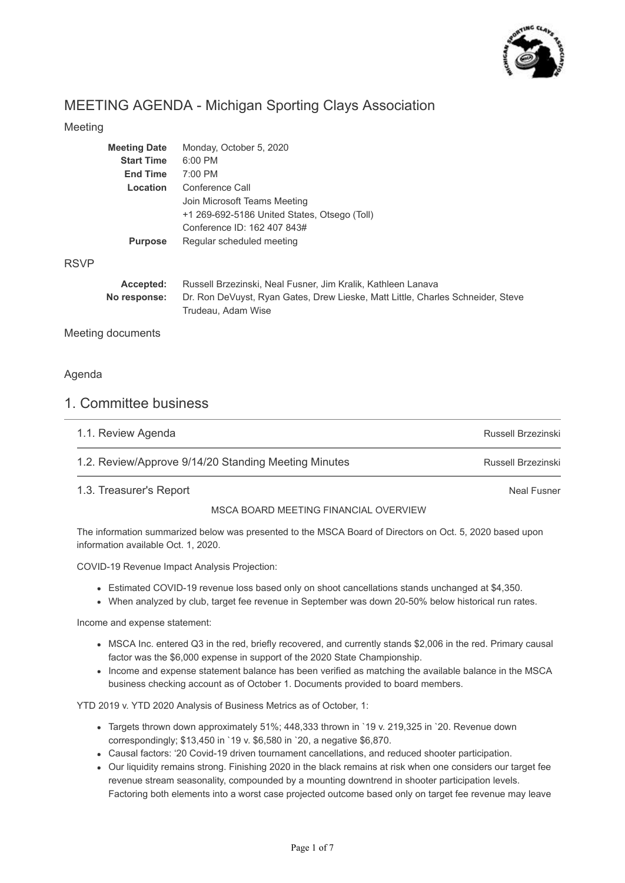

Neal Fusner

# MEETING AGENDA - Michigan Sporting Clays Association

## Meeting

|             | <b>Meeting Date</b> | Monday, October 5, 2020                                                                               |
|-------------|---------------------|-------------------------------------------------------------------------------------------------------|
|             | <b>Start Time</b>   | 6:00 PM                                                                                               |
|             | <b>End Time</b>     | 7:00 PM                                                                                               |
|             | Location            | Conference Call                                                                                       |
|             |                     | Join Microsoft Teams Meeting                                                                          |
|             |                     | +1 269-692-5186 United States, Otsego (Toll)                                                          |
|             |                     | Conference ID: 162 407 843#                                                                           |
|             | <b>Purpose</b>      | Regular scheduled meeting                                                                             |
| <b>RSVP</b> |                     |                                                                                                       |
|             | Accepted:           | Russell Brzezinski, Neal Fusner, Jim Kralik, Kathleen Lanava                                          |
|             | No response:        | Dr. Ron DeVuyst, Ryan Gates, Drew Lieske, Matt Little, Charles Schneider, Steve<br>Trudeau, Adam Wise |

Meeting documents

## Agenda

## 1. Committee business

| 1.1. Review Agenda                                   | Russell Brzezinski |
|------------------------------------------------------|--------------------|
| 1.2. Review/Approve 9/14/20 Standing Meeting Minutes | Russell Brzezinski |

## 1.3. Treasurer's Report

## MSCA BOARD MEETING FINANCIAL OVERVIEW

The information summarized below was presented to the MSCA Board of Directors on Oct. 5, 2020 based upon information available Oct. 1, 2020.

COVID-19 Revenue Impact Analysis Projection:

- Estimated COVID-19 revenue loss based only on shoot cancellations stands unchanged at \$4,350.
- When analyzed by club, target fee revenue in September was down 20-50% below historical run rates.

Income and expense statement:

- MSCA Inc. entered Q3 in the red, briefly recovered, and currently stands \$2,006 in the red. Primary causal factor was the \$6,000 expense in support of the 2020 State Championship.
- Income and expense statement balance has been verified as matching the available balance in the MSCA business checking account as of October 1. Documents provided to board members.

YTD 2019 v. YTD 2020 Analysis of Business Metrics as of October, 1:

- Targets thrown down approximately 51%; 448,333 thrown in `19 v. 219,325 in `20. Revenue down correspondingly; \$13,450 in `19 v. \$6,580 in `20, a negative \$6,870.
- Causal factors: '20 Covid-19 driven tournament cancellations, and reduced shooter participation.
- Our liquidity remains strong. Finishing 2020 in the black remains at risk when one considers our target fee revenue stream seasonality, compounded by a mounting downtrend in shooter participation levels. Factoring both elements into a worst case projected outcome based only on target fee revenue may leave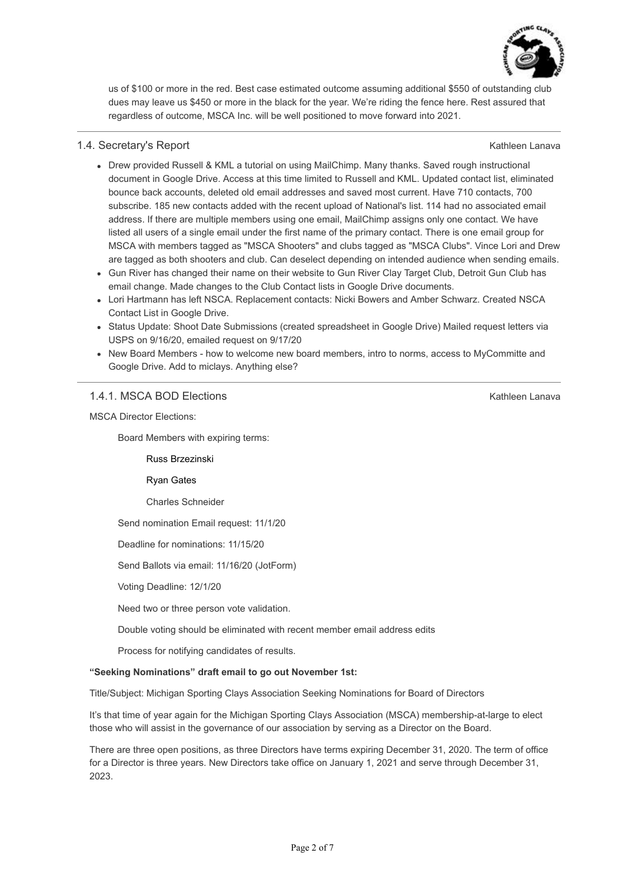

us of \$100 or more in the red. Best case estimated outcome assuming additional \$550 of outstanding club dues may leave us \$450 or more in the black for the year. We're riding the fence here. Rest assured that regardless of outcome, MSCA Inc. will be well positioned to move forward into 2021.

### 1.4. Secretary's Report

Kathleen Lanava

Kathleen Lanava

- Drew provided Russell & KML a tutorial on using MailChimp. Many thanks. Saved rough instructional document in Google Drive. Access at this time limited to Russell and KML. Updated contact list, eliminated bounce back accounts, deleted old email addresses and saved most current. Have 710 contacts, 700 subscribe. 185 new contacts added with the recent upload of National's list. 114 had no associated email address. If there are multiple members using one email, MailChimp assigns only one contact. We have listed all users of a single email under the first name of the primary contact. There is one email group for MSCA with members tagged as "MSCA Shooters" and clubs tagged as "MSCA Clubs". Vince Lori and Drew are tagged as both shooters and club. Can deselect depending on intended audience when sending emails.
- Gun River has changed their name on their website to Gun River Clay Target Club, Detroit Gun Club has email change. Made changes to the Club Contact lists in Google Drive documents.
- Lori Hartmann has left NSCA. Replacement contacts: Nicki Bowers and Amber Schwarz. Created NSCA Contact List in Google Drive.
- Status Update: Shoot Date Submissions (created spreadsheet in Google Drive) Mailed request letters via USPS on 9/16/20, emailed request on 9/17/20
- New Board Members how to welcome new board members, intro to norms, access to MyCommitte and Google Drive. Add to miclays. Anything else?

## 1.4.1. MSCA BOD Elections

MSCA Director Elections:

Board Members with expiring terms:

Russ Brzezinski

Ryan Gates

Charles Schneider

Send nomination Email request: 11/1/20

Deadline for nominations: 11/15/20

Send Ballots via email: 11/16/20 (JotForm)

Voting Deadline: 12/1/20

Need two or three person vote validation.

Double voting should be eliminated with recent member email address edits

Process for notifying candidates of results.

#### **"Seeking Nominations" draft email to go out November 1st:**

Title/Subject: Michigan Sporting Clays Association Seeking Nominations for Board of Directors

It's that time of year again for the Michigan Sporting Clays Association (MSCA) membership-at-large to elect those who will assist in the governance of our association by serving as a Director on the Board.

There are three open positions, as three Directors have terms expiring December 31, 2020. The term of office for a Director is three years. New Directors take office on January 1, 2021 and serve through December 31, 2023.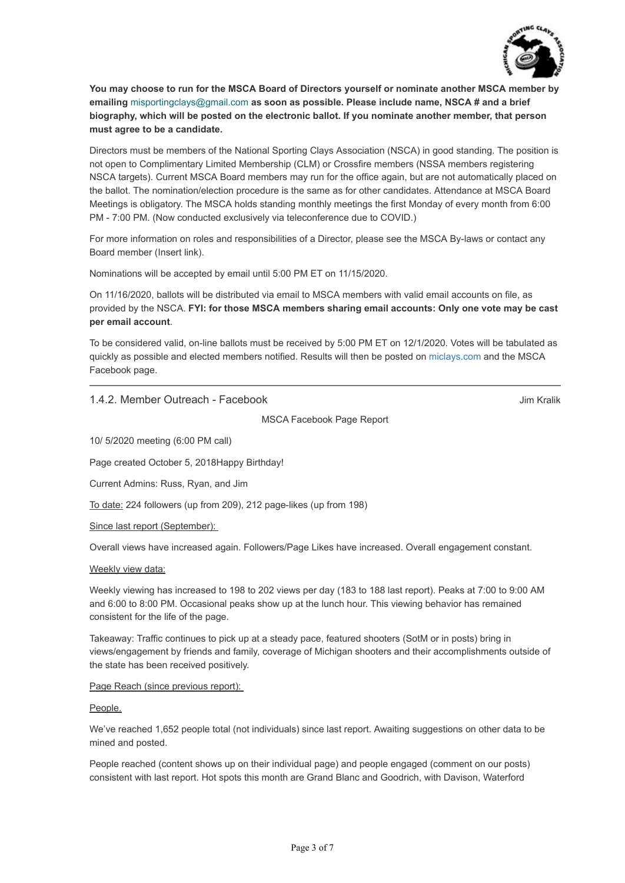

**You may choose to run for the MSCA Board of Directors yourself or nominate another MSCA member by emailing** misportingclays@gmail.com **as soon as possible. Please include name, NSCA # and a brief biography, which will be posted on the electronic ballot. If you nominate another member, that person must agree to be a candidate.** 

Directors must be members of the National Sporting Clays Association (NSCA) in good standing. The position is not open to Complimentary Limited Membership (CLM) or Crossfire members (NSSA members registering NSCA targets). Current MSCA Board members may run for the office again, but are not automatically placed on the ballot. The nomination/election procedure is the same as for other candidates. Attendance at MSCA Board Meetings is obligatory. The MSCA holds standing monthly meetings the first Monday of every month from 6:00 PM - 7:00 PM. (Now conducted exclusively via teleconference due to COVID.)

For more information on roles and responsibilities of a Director, please see the MSCA By-laws or contact any Board member (Insert link).

Nominations will be accepted by email until 5:00 PM ET on 11/15/2020.

On 11/16/2020, ballots will be distributed via email to MSCA members with valid email accounts on file, as provided by the NSCA. **FYI: for those MSCA members sharing email accounts: Only one vote may be cast per email account**.

To be considered valid, on-line ballots must be received by 5:00 PM ET on 12/1/2020. Votes will be tabulated as quickly as possible and elected members notified. Results will then be posted on [miclays.com](http://miclays.com/) and the MSCA Facebook page.

1.4.2. Member Outreach - Facebook

Jim Kralik

MSCA Facebook Page Report

10/ 5/2020 meeting (6:00 PM call)

Page created October 5, 2018Happy Birthday!

Current Admins: Russ, Ryan, and Jim

To date: 224 followers (up from 209), 212 page-likes (up from 198)

Since last report (September):

Overall views have increased again. Followers/Page Likes have increased. Overall engagement constant.

#### Weekly view data:

Weekly viewing has increased to 198 to 202 views per day (183 to 188 last report). Peaks at 7:00 to 9:00 AM and 6:00 to 8:00 PM. Occasional peaks show up at the lunch hour. This viewing behavior has remained consistent for the life of the page.

Takeaway: Traffic continues to pick up at a steady pace, featured shooters (SotM or in posts) bring in views/engagement by friends and family, coverage of Michigan shooters and their accomplishments outside of the state has been received positively.

#### Page Reach (since previous report):

People.

We've reached 1,652 people total (not individuals) since last report. Awaiting suggestions on other data to be mined and posted.

People reached (content shows up on their individual page) and people engaged (comment on our posts) consistent with last report. Hot spots this month are Grand Blanc and Goodrich, with Davison, Waterford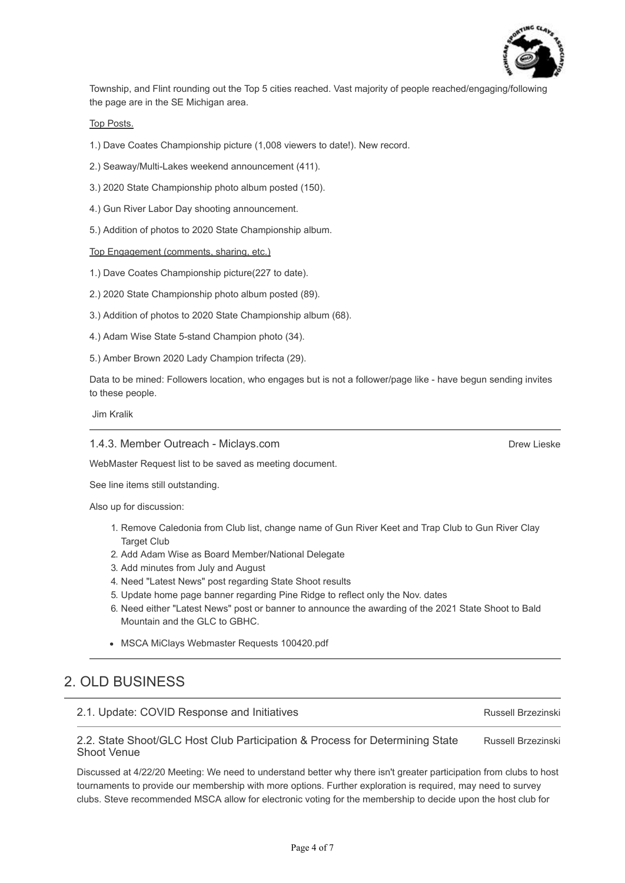

Township, and Flint rounding out the Top 5 cities reached. Vast majority of people reached/engaging/following the page are in the SE Michigan area.

#### Top Posts.

1.) Dave Coates Championship picture (1,008 viewers to date!). New record.

2.) Seaway/Multi-Lakes weekend announcement (411).

- 3.) 2020 State Championship photo album posted (150).
- 4.) Gun River Labor Day shooting announcement.
- 5.) Addition of photos to 2020 State Championship album.

#### Top Engagement (comments, sharing, etc.)

- 1.) Dave Coates Championship picture(227 to date).
- 2.) 2020 State Championship photo album posted (89).
- 3.) Addition of photos to 2020 State Championship album (68).
- 4.) Adam Wise State 5-stand Champion photo (34).
- 5.) Amber Brown 2020 Lady Champion trifecta (29).

Data to be mined: Followers location, who engages but is not a follower/page like - have begun sending invites to these people.

Jim Kralik

#### 1.4.3. Member Outreach - Miclays.com

WebMaster Request list to be saved as meeting document.

See line items still outstanding.

Also up for discussion:

- 1. Remove Caledonia from Club list, change name of Gun River Keet and Trap Club to Gun River Clay Target Club
- 2. Add Adam Wise as Board Member/National Delegate
- 3. Add minutes from July and August
- 4. Need "Latest News" post regarding State Shoot results
- 5. Update home page banner regarding Pine Ridge to reflect only the Nov. dates
- 6. Need either "Latest News" post or banner to announce the awarding of the 2021 State Shoot to Bald Mountain and the GLC to GBHC.
- MSCA MiClays Webmaster Requests 100420.pdf

## 2. OLD BUSINESS

#### 2.1. Update: COVID Response and Initiatives

Russell Brzezinski

Russell Brzezinski 2.2. State Shoot/GLC Host Club Participation & Process for Determining State Shoot Venue

Discussed at 4/22/20 Meeting: We need to understand better why there isn't greater participation from clubs to host tournaments to provide our membership with more options. Further exploration is required, may need to survey clubs. Steve recommended MSCA allow for electronic voting for the membership to decide upon the host club for

Drew Lieske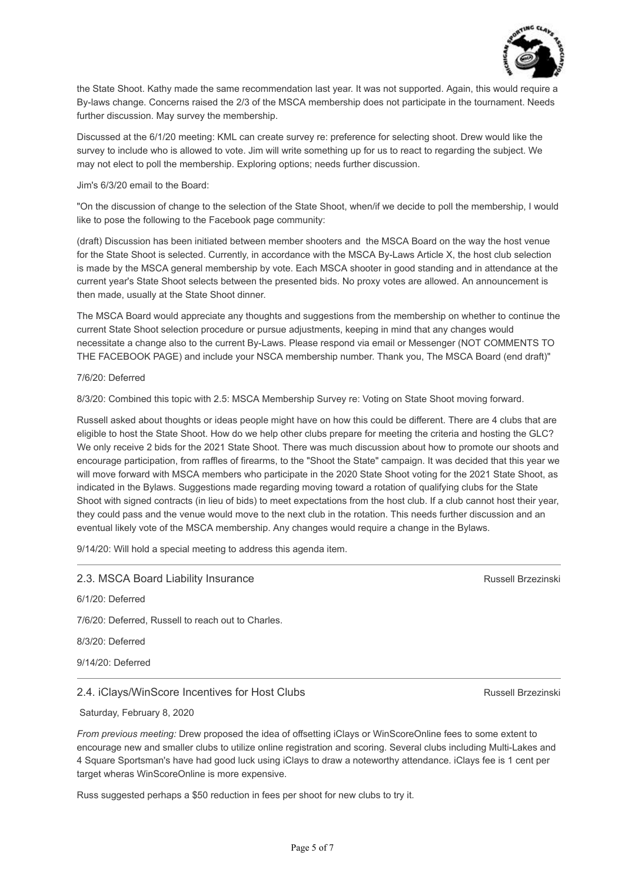

the State Shoot. Kathy made the same recommendation last year. It was not supported. Again, this would require a By-laws change. Concerns raised the 2/3 of the MSCA membership does not participate in the tournament. Needs further discussion. May survey the membership.

Discussed at the 6/1/20 meeting: KML can create survey re: preference for selecting shoot. Drew would like the survey to include who is allowed to vote. Jim will write something up for us to react to regarding the subject. We may not elect to poll the membership. Exploring options; needs further discussion.

#### Jim's 6/3/20 email to the Board:

"On the discussion of change to the selection of the State Shoot, when/if we decide to poll the membership, I would like to pose the following to the Facebook page community:

(draft) Discussion has been initiated between member shooters and the MSCA Board on the way the host venue for the State Shoot is selected. Currently, in accordance with the MSCA By-Laws Article X, the host club selection is made by the MSCA general membership by vote. Each MSCA shooter in good standing and in attendance at the current year's State Shoot selects between the presented bids. No proxy votes are allowed. An announcement is then made, usually at the State Shoot dinner.

The MSCA Board would appreciate any thoughts and suggestions from the membership on whether to continue the current State Shoot selection procedure or pursue adjustments, keeping in mind that any changes would necessitate a change also to the current By-Laws. Please respond via email or Messenger (NOT COMMENTS TO THE FACEBOOK PAGE) and include your NSCA membership number. Thank you, The MSCA Board (end draft)"

#### 7/6/20: Deferred

8/3/20: Combined this topic with 2.5: MSCA Membership Survey re: Voting on State Shoot moving forward.

Russell asked about thoughts or ideas people might have on how this could be different. There are 4 clubs that are eligible to host the State Shoot. How do we help other clubs prepare for meeting the criteria and hosting the GLC? We only receive 2 bids for the 2021 State Shoot. There was much discussion about how to promote our shoots and encourage participation, from raffles of firearms, to the "Shoot the State" campaign. It was decided that this year we will move forward with MSCA members who participate in the 2020 State Shoot voting for the 2021 State Shoot, as indicated in the Bylaws. Suggestions made regarding moving toward a rotation of qualifying clubs for the State Shoot with signed contracts (in lieu of bids) to meet expectations from the host club. If a club cannot host their year, they could pass and the venue would move to the next club in the rotation. This needs further discussion and an eventual likely vote of the MSCA membership. Any changes would require a change in the Bylaws.

9/14/20: Will hold a special meeting to address this agenda item.

| Russell Brzezinski |
|--------------------|
|                    |
|                    |
|                    |
|                    |
|                    |

#### 2.4. iClays/WinScore Incentives for Host Clubs

#### Saturday, February 8, 2020

*From previous meeting:* Drew proposed the idea of offsetting iClays or WinScoreOnline fees to some extent to encourage new and smaller clubs to utilize online registration and scoring. Several clubs including Multi-Lakes and 4 Square Sportsman's have had good luck using iClays to draw a noteworthy attendance. iClays fee is 1 cent per target wheras WinScoreOnline is more expensive.

Russ suggested perhaps a \$50 reduction in fees per shoot for new clubs to try it.

Russell Brzezinski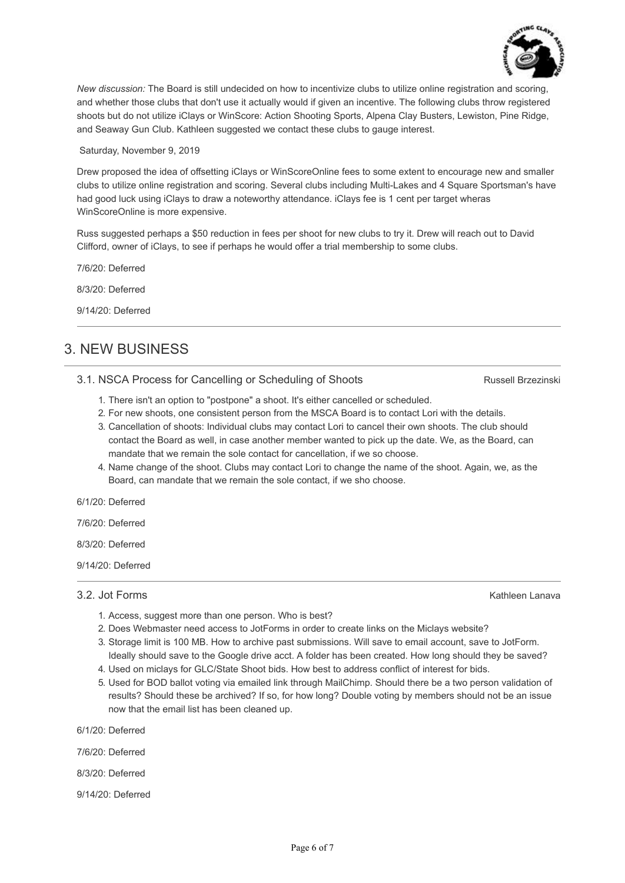

*New discussion:* The Board is still undecided on how to incentivize clubs to utilize online registration and scoring, and whether those clubs that don't use it actually would if given an incentive. The following clubs throw registered shoots but do not utilize iClays or WinScore: Action Shooting Sports, Alpena Clay Busters, Lewiston, Pine Ridge, and Seaway Gun Club. Kathleen suggested we contact these clubs to gauge interest.

Saturday, November 9, 2019

Drew proposed the idea of offsetting iClays or WinScoreOnline fees to some extent to encourage new and smaller clubs to utilize online registration and scoring. Several clubs including Multi-Lakes and 4 Square Sportsman's have had good luck using iClays to draw a noteworthy attendance. iClays fee is 1 cent per target wheras WinScoreOnline is more expensive.

Russ suggested perhaps a \$50 reduction in fees per shoot for new clubs to try it. Drew will reach out to David Clifford, owner of iClays, to see if perhaps he would offer a trial membership to some clubs.

7/6/20: Deferred

8/3/20: Deferred

9/14/20: Deferred

# 3. NEW BUSINESS

## 3.1. NSCA Process for Cancelling or Scheduling of Shoots

Russell Brzezinski

- 1. There isn't an option to "postpone" a shoot. It's either cancelled or scheduled.
- 2. For new shoots, one consistent person from the MSCA Board is to contact Lori with the details.
- 3. Cancellation of shoots: Individual clubs may contact Lori to cancel their own shoots. The club should contact the Board as well, in case another member wanted to pick up the date. We, as the Board, can mandate that we remain the sole contact for cancellation, if we so choose.
- 4. Name change of the shoot. Clubs may contact Lori to change the name of the shoot. Again, we, as the Board, can mandate that we remain the sole contact, if we sho choose.

6/1/20: Deferred

7/6/20: Deferred

8/3/20: Deferred

9/14/20: Deferred

3.2. Jot Forms

Kathleen Lanava

- 1. Access, suggest more than one person. Who is best?
- 2. Does Webmaster need access to JotForms in order to create links on the Miclays website?
- 3. Storage limit is 100 MB. How to archive past submissions. Will save to email account, save to JotForm. Ideally should save to the Google drive acct. A folder has been created. How long should they be saved?
- 4. Used on miclays for GLC/State Shoot bids. How best to address conflict of interest for bids.
- 5. Used for BOD ballot voting via emailed link through MailChimp. Should there be a two person validation of results? Should these be archived? If so, for how long? Double voting by members should not be an issue now that the email list has been cleaned up.

6/1/20: Deferred

7/6/20: Deferred

8/3/20: Deferred

9/14/20: Deferred